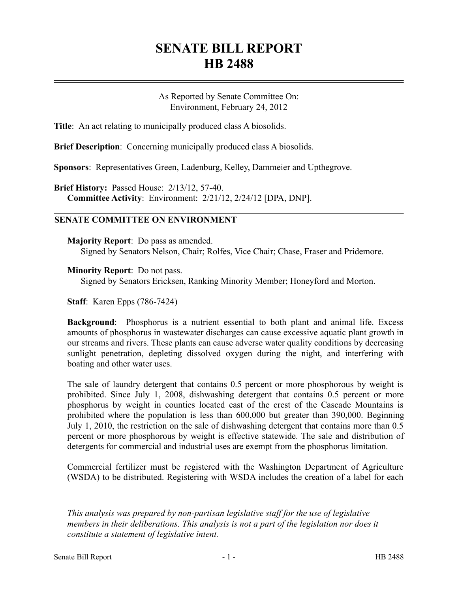## **SENATE BILL REPORT HB 2488**

As Reported by Senate Committee On: Environment, February 24, 2012

**Title**: An act relating to municipally produced class A biosolids.

**Brief Description**: Concerning municipally produced class A biosolids.

**Sponsors**: Representatives Green, Ladenburg, Kelley, Dammeier and Upthegrove.

**Brief History:** Passed House: 2/13/12, 57-40. **Committee Activity**: Environment: 2/21/12, 2/24/12 [DPA, DNP].

## **SENATE COMMITTEE ON ENVIRONMENT**

**Majority Report**: Do pass as amended. Signed by Senators Nelson, Chair; Rolfes, Vice Chair; Chase, Fraser and Pridemore.

**Minority Report**: Do not pass.

Signed by Senators Ericksen, Ranking Minority Member; Honeyford and Morton.

**Staff**: Karen Epps (786-7424)

**Background**: Phosphorus is a nutrient essential to both plant and animal life. Excess amounts of phosphorus in wastewater discharges can cause excessive aquatic plant growth in our streams and rivers. These plants can cause adverse water quality conditions by decreasing sunlight penetration, depleting dissolved oxygen during the night, and interfering with boating and other water uses.

The sale of laundry detergent that contains 0.5 percent or more phosphorous by weight is prohibited. Since July 1, 2008, dishwashing detergent that contains 0.5 percent or more phosphorus by weight in counties located east of the crest of the Cascade Mountains is prohibited where the population is less than 600,000 but greater than 390,000. Beginning July 1, 2010, the restriction on the sale of dishwashing detergent that contains more than 0.5 percent or more phosphorous by weight is effective statewide. The sale and distribution of detergents for commercial and industrial uses are exempt from the phosphorus limitation.

Commercial fertilizer must be registered with the Washington Department of Agriculture (WSDA) to be distributed. Registering with WSDA includes the creation of a label for each

––––––––––––––––––––––

*This analysis was prepared by non-partisan legislative staff for the use of legislative members in their deliberations. This analysis is not a part of the legislation nor does it constitute a statement of legislative intent.*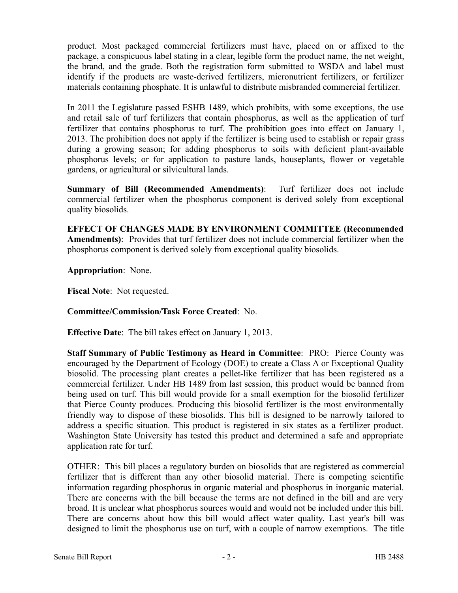product. Most packaged commercial fertilizers must have, placed on or affixed to the package, a conspicuous label stating in a clear, legible form the product name, the net weight, the brand, and the grade. Both the registration form submitted to WSDA and label must identify if the products are waste-derived fertilizers, micronutrient fertilizers, or fertilizer materials containing phosphate. It is unlawful to distribute misbranded commercial fertilizer.

In 2011 the Legislature passed ESHB 1489, which prohibits, with some exceptions, the use and retail sale of turf fertilizers that contain phosphorus, as well as the application of turf fertilizer that contains phosphorus to turf. The prohibition goes into effect on January 1, 2013. The prohibition does not apply if the fertilizer is being used to establish or repair grass during a growing season; for adding phosphorus to soils with deficient plant-available phosphorus levels; or for application to pasture lands, houseplants, flower or vegetable gardens, or agricultural or silvicultural lands.

**Summary of Bill (Recommended Amendments)**: Turf fertilizer does not include commercial fertilizer when the phosphorus component is derived solely from exceptional quality biosolids.

**EFFECT OF CHANGES MADE BY ENVIRONMENT COMMITTEE (Recommended Amendments)**: Provides that turf fertilizer does not include commercial fertilizer when the phosphorus component is derived solely from exceptional quality biosolids.

**Appropriation**: None.

**Fiscal Note**: Not requested.

## **Committee/Commission/Task Force Created**: No.

**Effective Date**: The bill takes effect on January 1, 2013.

**Staff Summary of Public Testimony as Heard in Committee**: PRO: Pierce County was encouraged by the Department of Ecology (DOE) to create a Class A or Exceptional Quality biosolid. The processing plant creates a pellet-like fertilizer that has been registered as a commercial fertilizer. Under HB 1489 from last session, this product would be banned from being used on turf. This bill would provide for a small exemption for the biosolid fertilizer that Pierce County produces. Producing this biosolid fertilizer is the most environmentally friendly way to dispose of these biosolids. This bill is designed to be narrowly tailored to address a specific situation. This product is registered in six states as a fertilizer product. Washington State University has tested this product and determined a safe and appropriate application rate for turf.

OTHER: This bill places a regulatory burden on biosolids that are registered as commercial fertilizer that is different than any other biosolid material. There is competing scientific information regarding phosphorus in organic material and phosphorus in inorganic material. There are concerns with the bill because the terms are not defined in the bill and are very broad. It is unclear what phosphorus sources would and would not be included under this bill. There are concerns about how this bill would affect water quality. Last year's bill was designed to limit the phosphorus use on turf, with a couple of narrow exemptions. The title